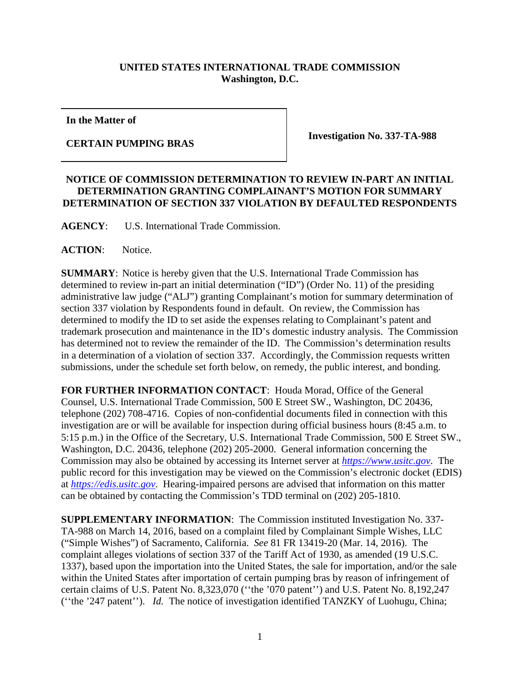## **UNITED STATES INTERNATIONAL TRADE COMMISSION Washington, D.C.**

**In the Matter of**

**CERTAIN PUMPING BRAS Investigation No. 337-TA-988** 

## **NOTICE OF COMMISSION DETERMINATION TO REVIEW IN-PART AN INITIAL DETERMINATION GRANTING COMPLAINANT'S MOTION FOR SUMMARY DETERMINATION OF SECTION 337 VIOLATION BY DEFAULTED RESPONDENTS**

**AGENCY**: U.S. International Trade Commission.

**ACTION**: Notice.

**SUMMARY**: Notice is hereby given that the U.S. International Trade Commission has determined to review in-part an initial determination ("ID") (Order No. 11) of the presiding administrative law judge ("ALJ") granting Complainant's motion for summary determination of section 337 violation by Respondents found in default. On review, the Commission has determined to modify the ID to set aside the expenses relating to Complainant's patent and trademark prosecution and maintenance in the ID's domestic industry analysis. The Commission has determined not to review the remainder of the ID. The Commission's determination results in a determination of a violation of section 337. Accordingly, the Commission requests written submissions, under the schedule set forth below, on remedy, the public interest, and bonding.

**FOR FURTHER INFORMATION CONTACT**: Houda Morad, Office of the General Counsel, U.S. International Trade Commission, 500 E Street SW., Washington, DC 20436, telephone (202) 708-4716. Copies of non-confidential documents filed in connection with this investigation are or will be available for inspection during official business hours (8:45 a.m. to 5:15 p.m.) in the Office of the Secretary, U.S. International Trade Commission, 500 E Street SW., Washington, D.C. 20436, telephone (202) 205-2000. General information concerning the Commission may also be obtained by accessing its Internet server at *[https://www.usitc.gov](https://www.usitc.gov/)*. The public record for this investigation may be viewed on the Commission's electronic docket (EDIS) at *[https://edis.usitc.gov](http://edis.usitc.gov/)*. Hearing-impaired persons are advised that information on this matter can be obtained by contacting the Commission's TDD terminal on (202) 205-1810.

**SUPPLEMENTARY INFORMATION**: The Commission instituted Investigation No. 337- TA-988 on March 14, 2016, based on a complaint filed by Complainant Simple Wishes, LLC ("Simple Wishes") of Sacramento, California. *See* 81 FR 13419-20 (Mar. 14, 2016). The complaint alleges violations of section 337 of the Tariff Act of 1930, as amended (19 U.S.C. 1337), based upon the importation into the United States, the sale for importation, and/or the sale within the United States after importation of certain pumping bras by reason of infringement of certain claims of U.S. Patent No. 8,323,070 (''the '070 patent'') and U.S. Patent No. 8,192,247 (''the '247 patent''). *Id.* The notice of investigation identified TANZKY of Luohugu, China;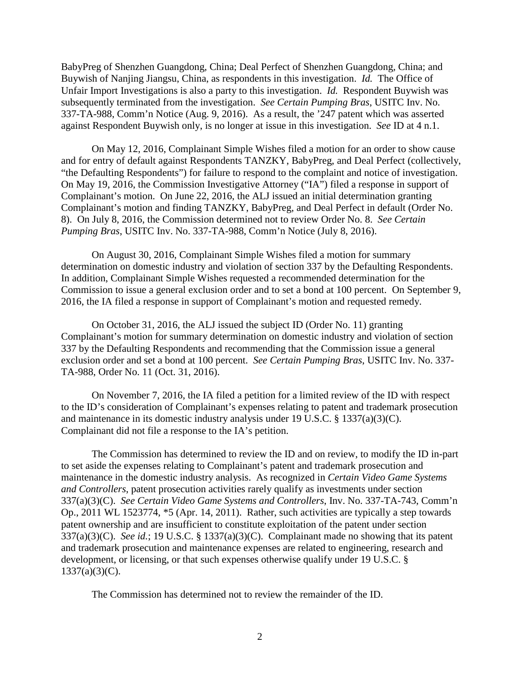BabyPreg of Shenzhen Guangdong, China; Deal Perfect of Shenzhen Guangdong, China; and Buywish of Nanjing Jiangsu, China, as respondents in this investigation. *Id.* The Office of Unfair Import Investigations is also a party to this investigation. *Id.* Respondent Buywish was subsequently terminated from the investigation. *See Certain Pumping Bras*, USITC Inv. No. 337-TA-988, Comm'n Notice (Aug. 9, 2016). As a result, the '247 patent which was asserted against Respondent Buywish only, is no longer at issue in this investigation. *See* ID at 4 n.1.

On May 12, 2016, Complainant Simple Wishes filed a motion for an order to show cause and for entry of default against Respondents TANZKY, BabyPreg, and Deal Perfect (collectively, "the Defaulting Respondents") for failure to respond to the complaint and notice of investigation. On May 19, 2016, the Commission Investigative Attorney ("IA") filed a response in support of Complainant's motion. On June 22, 2016, the ALJ issued an initial determination granting Complainant's motion and finding TANZKY, BabyPreg, and Deal Perfect in default (Order No. 8). On July 8, 2016, the Commission determined not to review Order No. 8. *See Certain Pumping Bras*, USITC Inv. No. 337-TA-988, Comm'n Notice (July 8, 2016).

On August 30, 2016, Complainant Simple Wishes filed a motion for summary determination on domestic industry and violation of section 337 by the Defaulting Respondents. In addition, Complainant Simple Wishes requested a recommended determination for the Commission to issue a general exclusion order and to set a bond at 100 percent. On September 9, 2016, the IA filed a response in support of Complainant's motion and requested remedy.

On October 31, 2016, the ALJ issued the subject ID (Order No. 11) granting Complainant's motion for summary determination on domestic industry and violation of section 337 by the Defaulting Respondents and recommending that the Commission issue a general exclusion order and set a bond at 100 percent. *See Certain Pumping Bras*, USITC Inv. No. 337- TA-988, Order No. 11 (Oct. 31, 2016).

On November 7, 2016, the IA filed a petition for a limited review of the ID with respect to the ID's consideration of Complainant's expenses relating to patent and trademark prosecution and maintenance in its domestic industry analysis under 19 U.S.C. § 1337(a)(3)(C). Complainant did not file a response to the IA's petition.

The Commission has determined to review the ID and on review, to modify the ID in-part to set aside the expenses relating to Complainant's patent and trademark prosecution and maintenance in the domestic industry analysis. As recognized in *Certain Video Game Systems and Controllers*, patent prosecution activities rarely qualify as investments under section 337(a)(3)(C). *See Certain Video Game Systems and Controllers*, Inv. No. 337-TA-743, Comm'n Op., 2011 WL 1523774, \*5 (Apr. 14, 2011). Rather, such activities are typically a step towards patent ownership and are insufficient to constitute exploitation of the patent under section 337(a)(3)(C). *See id.*; 19 U.S.C. § 1337(a)(3)(C). Complainant made no showing that its patent and trademark prosecution and maintenance expenses are related to engineering, research and development, or licensing, or that such expenses otherwise qualify under 19 U.S.C. §  $1337(a)(3)(C)$ .

The Commission has determined not to review the remainder of the ID.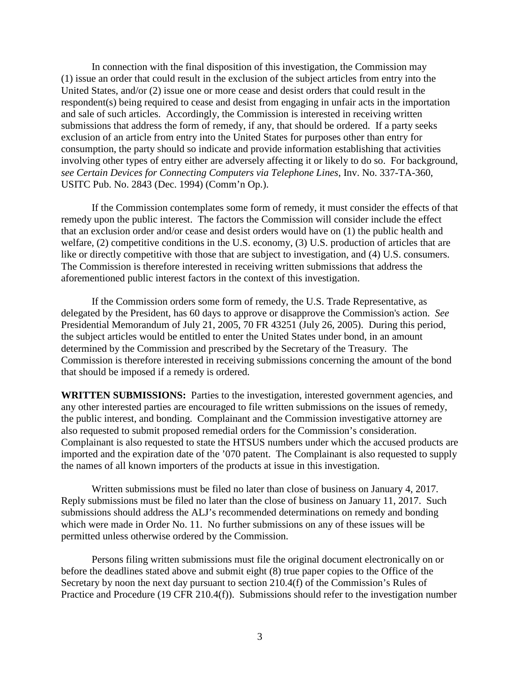In connection with the final disposition of this investigation, the Commission may (1) issue an order that could result in the exclusion of the subject articles from entry into the United States, and/or (2) issue one or more cease and desist orders that could result in the respondent(s) being required to cease and desist from engaging in unfair acts in the importation and sale of such articles. Accordingly, the Commission is interested in receiving written submissions that address the form of remedy, if any, that should be ordered. If a party seeks exclusion of an article from entry into the United States for purposes other than entry for consumption, the party should so indicate and provide information establishing that activities involving other types of entry either are adversely affecting it or likely to do so. For background, *see Certain Devices for Connecting Computers via Telephone Lines*, Inv. No. 337-TA-360, USITC Pub. No. 2843 (Dec. 1994) (Comm'n Op.).

If the Commission contemplates some form of remedy, it must consider the effects of that remedy upon the public interest. The factors the Commission will consider include the effect that an exclusion order and/or cease and desist orders would have on (1) the public health and welfare, (2) competitive conditions in the U.S. economy, (3) U.S. production of articles that are like or directly competitive with those that are subject to investigation, and (4) U.S. consumers. The Commission is therefore interested in receiving written submissions that address the aforementioned public interest factors in the context of this investigation.

If the Commission orders some form of remedy, the U.S. Trade Representative, as delegated by the President, has 60 days to approve or disapprove the Commission's action. *See*  Presidential Memorandum of July 21, 2005, 70 FR 43251 (July 26, 2005). During this period, the subject articles would be entitled to enter the United States under bond, in an amount determined by the Commission and prescribed by the Secretary of the Treasury. The Commission is therefore interested in receiving submissions concerning the amount of the bond that should be imposed if a remedy is ordered.

**WRITTEN SUBMISSIONS:** Parties to the investigation, interested government agencies, and any other interested parties are encouraged to file written submissions on the issues of remedy, the public interest, and bonding. Complainant and the Commission investigative attorney are also requested to submit proposed remedial orders for the Commission's consideration. Complainant is also requested to state the HTSUS numbers under which the accused products are imported and the expiration date of the '070 patent. The Complainant is also requested to supply the names of all known importers of the products at issue in this investigation.

Written submissions must be filed no later than close of business on January 4, 2017. Reply submissions must be filed no later than the close of business on January 11, 2017. Such submissions should address the ALJ's recommended determinations on remedy and bonding which were made in Order No. 11. No further submissions on any of these issues will be permitted unless otherwise ordered by the Commission.

Persons filing written submissions must file the original document electronically on or before the deadlines stated above and submit eight (8) true paper copies to the Office of the Secretary by noon the next day pursuant to section 210.4(f) of the Commission's Rules of Practice and Procedure (19 CFR 210.4(f)). Submissions should refer to the investigation number